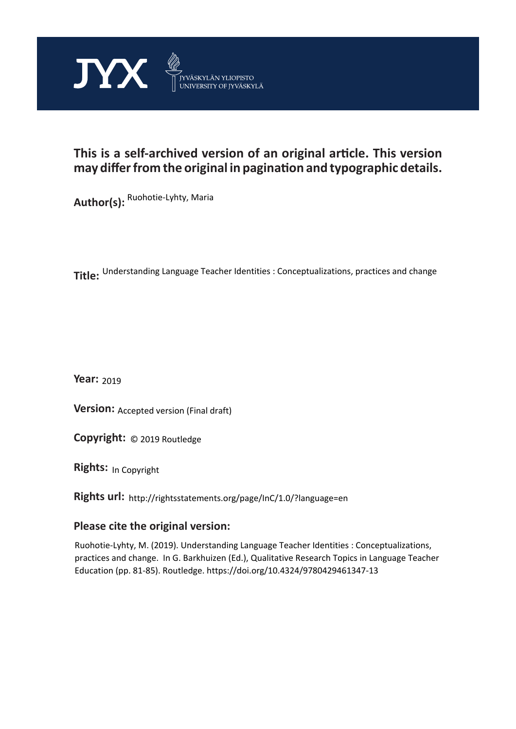

# **This is a self-archived version of an original article. This version may differ from the original in pagination and typographic details.**

**Author(s):** Ruohotie-Lyhty, Maria

**Title:**  Understanding Language Teacher Identities : Conceptualizations, practices and change

**Year:**  2019

**Version: Accepted version (Final draft)** 

**Version:** Accepted version (Final draft)<br>**Copyright:** © 2019 Routledge

**Rights:** In Copyright

**Rights url:**  http://rightsstatements.org/page/InC/1.0/?language=en

# **Please cite the original version:**

Ruohotie-Lyhty, M. (2019). Understanding Language Teacher Identities : Conceptualizations, practices and change. In G. Barkhuizen (Ed.), Qualitative Research Topics in Language Teacher Education (pp. 81-85). Routledge. https://doi.org/10.4324/9780429461347-13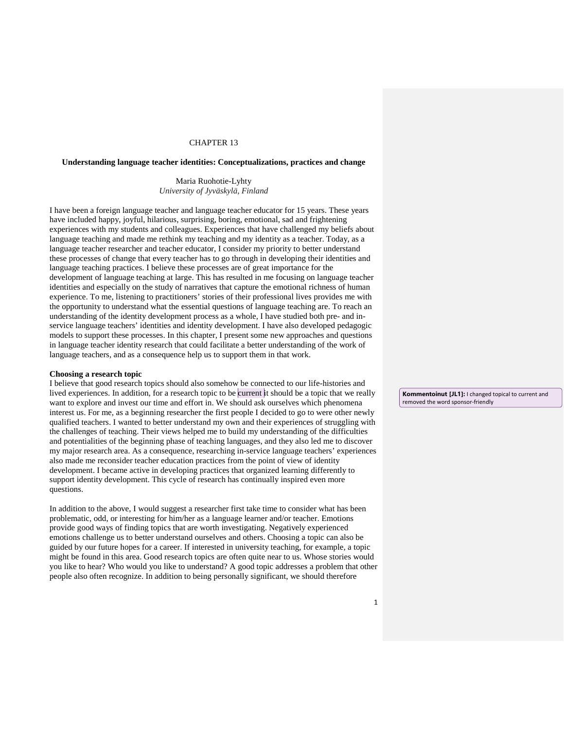## CHAPTER 13

# **Understanding language teacher identities: Conceptualizations, practices and change**

Maria Ruohotie-Lyhty *University of Jyväskylä, Finland*

I have been a foreign language teacher and language teacher educator for 15 years. These years have included happy, joyful, hilarious, surprising, boring, emotional, sad and frightening experiences with my students and colleagues. Experiences that have challenged my beliefs about language teaching and made me rethink my teaching and my identity as a teacher. Today, as a language teacher researcher and teacher educator, I consider my priority to better understand these processes of change that every teacher has to go through in developing their identities and language teaching practices. I believe these processes are of great importance for the development of language teaching at large. This has resulted in me focusing on language teacher identities and especially on the study of narratives that capture the emotional richness of human experience. To me, listening to practitioners' stories of their professional lives provides me with the opportunity to understand what the essential questions of language teaching are. To reach an understanding of the identity development process as a whole, I have studied both pre- and inservice language teachers' identities and identity development. I have also developed pedagogic models to support these processes. In this chapter, I present some new approaches and questions in language teacher identity research that could facilitate a better understanding of the work of language teachers, and as a consequence help us to support them in that work.

## **Choosing a research topic**

I believe that good research topics should also somehow be connected to our life-histories and lived experiences. In addition, for a research topic to be current it should be a topic that we really want to explore and invest our time and effort in. We should ask ourselves which phenomena interest us. For me, as a beginning researcher the first people I decided to go to were other newly qualified teachers. I wanted to better understand my own and their experiences of struggling with the challenges of teaching. Their views helped me to build my understanding of the difficulties and potentialities of the beginning phase of teaching languages, and they also led me to discover my major research area. As a consequence, researching in-service language teachers' experiences also made me reconsider teacher education practices from the point of view of identity development. I became active in developing practices that organized learning differently to support identity development. This cycle of research has continually inspired even more questions.

In addition to the above, I would suggest a researcher first take time to consider what has been problematic, odd, or interesting for him/her as a language learner and/or teacher. Emotions provide good ways of finding topics that are worth investigating. Negatively experienced emotions challenge us to better understand ourselves and others. Choosing a topic can also be guided by our future hopes for a career. If interested in university teaching, for example, a topic might be found in this area. Good research topics are often quite near to us. Whose stories would you like to hear? Who would you like to understand? A good topic addresses a problem that other people also often recognize. In addition to being personally significant, we should therefore

**Kommentoinut [JL1]:** I changed topical to current and removed the word sponsor-friendly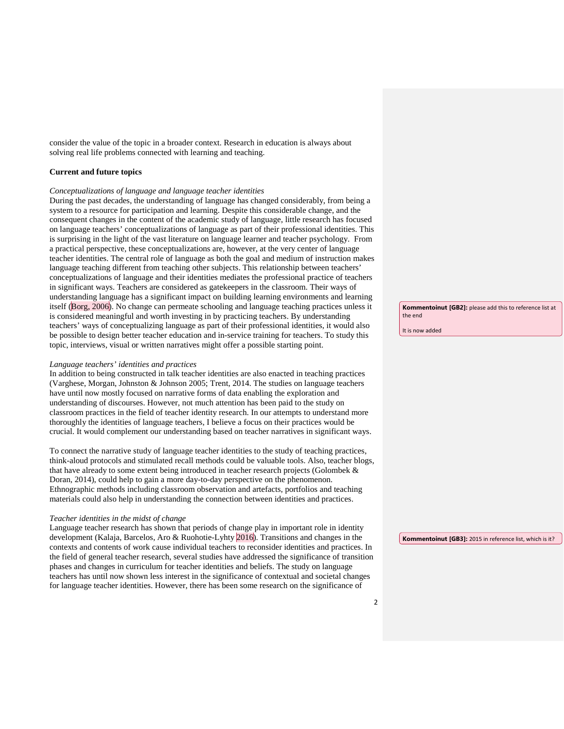consider the value of the topic in a broader context. Research in education is always about solving real life problems connected with learning and teaching.

#### **Current and future topics**

#### *Conceptualizations of language and language teacher identities*

During the past decades, the understanding of language has changed considerably, from being a system to a resource for participation and learning. Despite this considerable change, and the consequent changes in the content of the academic study of language, little research has focused on language teachers' conceptualizations of language as part of their professional identities. This is surprising in the light of the vast literature on language learner and teacher psychology. From a practical perspective, these conceptualizations are, however, at the very center of language teacher identities. The central role of language as both the goal and medium of instruction makes language teaching different from teaching other subjects. This relationship between teachers' conceptualizations of language and their identities mediates the professional practice of teachers in significant ways. Teachers are considered as gatekeepers in the classroom. Their ways of understanding language has a significant impact on building learning environments and learning itself (Borg, 2006). No change can permeate schooling and language teaching practices unless it is considered meaningful and worth investing in by practicing teachers. By understanding teachers' ways of conceptualizing language as part of their professional identities, it would also be possible to design better teacher education and in-service training for teachers. To study this topic, interviews, visual or written narratives might offer a possible starting point.

#### *Language teachers' identities and practices*

In addition to being constructed in talk teacher identities are also enacted in teaching practices (Varghese, Morgan, Johnston & Johnson 2005; Trent, 2014. The studies on language teachers have until now mostly focused on narrative forms of data enabling the exploration and understanding of discourses. However, not much attention has been paid to the study on classroom practices in the field of teacher identity research. In our attempts to understand more thoroughly the identities of language teachers, I believe a focus on their practices would be crucial. It would complement our understanding based on teacher narratives in significant ways.

To connect the narrative study of language teacher identities to the study of teaching practices, think-aloud protocols and stimulated recall methods could be valuable tools. Also, teacher blogs, that have already to some extent being introduced in teacher research projects (Golombek & Doran, 2014), could help to gain a more day-to-day perspective on the phenomenon. Ethnographic methods including classroom observation and artefacts, portfolios and teaching materials could also help in understanding the connection between identities and practices.

#### *Teacher identities in the midst of change*

Language teacher research has shown that periods of change play in important role in identity development (Kalaja, Barcelos, Aro & Ruohotie-Lyhty 2016). Transitions and changes in the contexts and contents of work cause individual teachers to reconsider identities and practices. In the field of general teacher research, several studies have addressed the significance of transition phases and changes in curriculum for teacher identities and beliefs. The study on language teachers has until now shown less interest in the significance of contextual and societal changes for language teacher identities. However, there has been some research on the significance of

**Kommentoinut [GB2]:** please add this to reference list at the end

It is now added

**Kommentoinut [GB3]:** 2015 in reference list, which is it?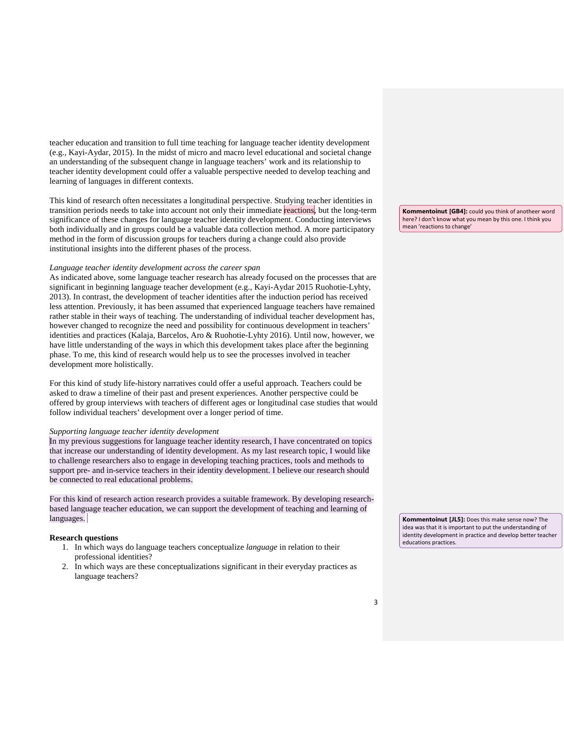teacher education and transition to full time teaching for language teacher identity development (e.g., Kayi-Aydar, 2015). In the midst of micro and macro level educational and societal change an understanding of the subsequent change in language teachers' work and its relationship to teacher identity development could offer a valuable perspective needed to develop teaching and learning of languages in different contexts.

This kind of research often necessitates a longitudinal perspective. Studying teacher identities in transition periods needs to take into account not only their immediate reactions, but the long-term significance of these changes for language teacher identity development. Conducting interviews both individually and in groups could be a valuable data collection method. A more participatory method in the form of discussion groups for teachers during a change could also provide institutional insights into the different phases of the process.

#### *Language teacher identity development across the career span*

As indicated above, some language teacher research has already focused on the processes that are significant in beginning language teacher development (e.g., Kayi-Aydar 2015 Ruohotie-Lyhty, 2013). In contrast, the development of teacher identities after the induction period has received less attention. Previously, it has been assumed that experienced language teachers have remained rather stable in their ways of teaching. The understanding of individual teacher development has, however changed to recognize the need and possibility for continuous development in teachers' identities and practices (Kalaja, Barcelos, Aro & Ruohotie-Lyhty 2016). Until now, however, we have little understanding of the ways in which this development takes place after the beginning phase. To me, this kind of research would help us to see the processes involved in teacher development more holistically.

For this kind of study life-history narratives could offer a useful approach. Teachers could be asked to draw a timeline of their past and present experiences. Another perspective could be offered by group interviews with teachers of different ages or longitudinal case studies that would follow individual teachers' development over a longer period of time.

#### *Supporting language teacher identity development*

In my previous suggestions for language teacher identity research, I have concentrated on topics that increase our understanding of identity development. As my last research topic, I would like to challenge researchers also to engage in developing teaching practices, tools and methods to support pre- and in-service teachers in their identity development. I believe our research should be connected to real educational problems.

For this kind of research action research provides a suitable framework. By developing researchbased language teacher education, we can support the development of teaching and learning of languages.

# **Research questions**

- 1. In which ways do language teachers conceptualize *language* in relation to their professional identities?
- 2. In which ways are these conceptualizations significant in their everyday practices as language teachers?

**Kommentoinut [GB4]:** could you think of anotheer word here? I don't know what you mean by this one. I think you mean 'reactions to change'

**Kommentoinut [JL5]:** Does this make sense now? The idea was that it is important to put the understanding of identity development in practice and develop better teacher educations practices.